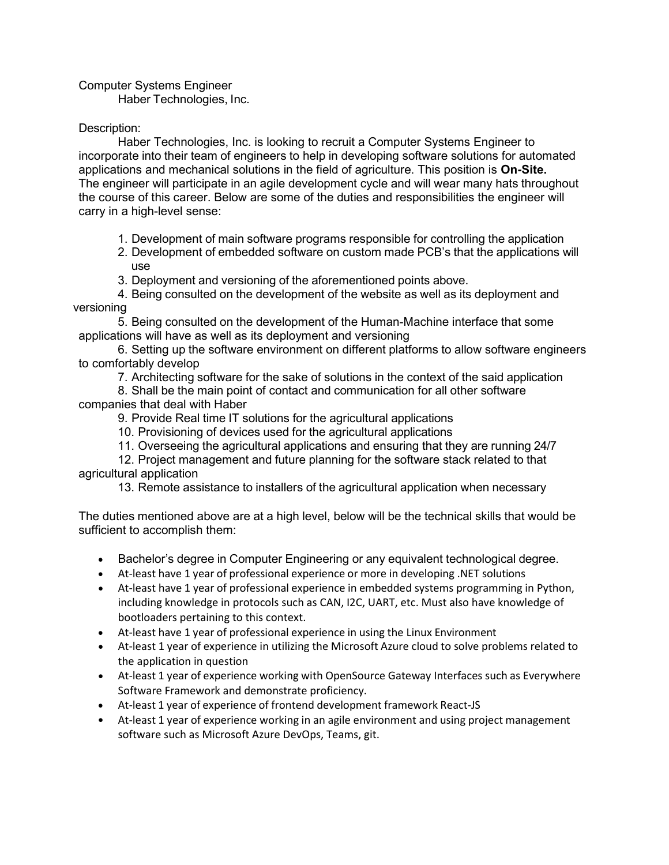Computer Systems Engineer

Haber Technologies, Inc.

## Description:

Haber Technologies, Inc. is looking to recruit a Computer Systems Engineer to incorporate into their team of engineers to help in developing software solutions for automated applications and mechanical solutions in the field of agriculture. This position is On-Site. The engineer will participate in an agile development cycle and will wear many hats throughout the course of this career. Below are some of the duties and responsibilities the engineer will carry in a high-level sense:

- 1. Development of main software programs responsible for controlling the application
- 2. Development of embedded software on custom made PCB's that the applications will use
- 3. Deployment and versioning of the aforementioned points above.
- 4. Being consulted on the development of the website as well as its deployment and versioning

5. Being consulted on the development of the Human-Machine interface that some applications will have as well as its deployment and versioning

6. Setting up the software environment on different platforms to allow software engineers to comfortably develop

7. Architecting software for the sake of solutions in the context of the said application

8. Shall be the main point of contact and communication for all other software companies that deal with Haber

9. Provide Real time IT solutions for the agricultural applications

10. Provisioning of devices used for the agricultural applications

11. Overseeing the agricultural applications and ensuring that they are running 24/7

12. Project management and future planning for the software stack related to that agricultural application

13. Remote assistance to installers of the agricultural application when necessary

The duties mentioned above are at a high level, below will be the technical skills that would be sufficient to accomplish them:

- Bachelor's degree in Computer Engineering or any equivalent technological degree.
- At-least have 1 year of professional experience or more in developing .NET solutions
- At-least have 1 year of professional experience in embedded systems programming in Python, including knowledge in protocols such as CAN, I2C, UART, etc. Must also have knowledge of bootloaders pertaining to this context.
- At-least have 1 year of professional experience in using the Linux Environment
- At-least 1 year of experience in utilizing the Microsoft Azure cloud to solve problems related to the application in question
- At-least 1 year of experience working with OpenSource Gateway Interfaces such as Everywhere Software Framework and demonstrate proficiency.
- At-least 1 year of experience of frontend development framework React-JS
- At-least 1 year of experience working in an agile environment and using project management software such as Microsoft Azure DevOps, Teams, git.